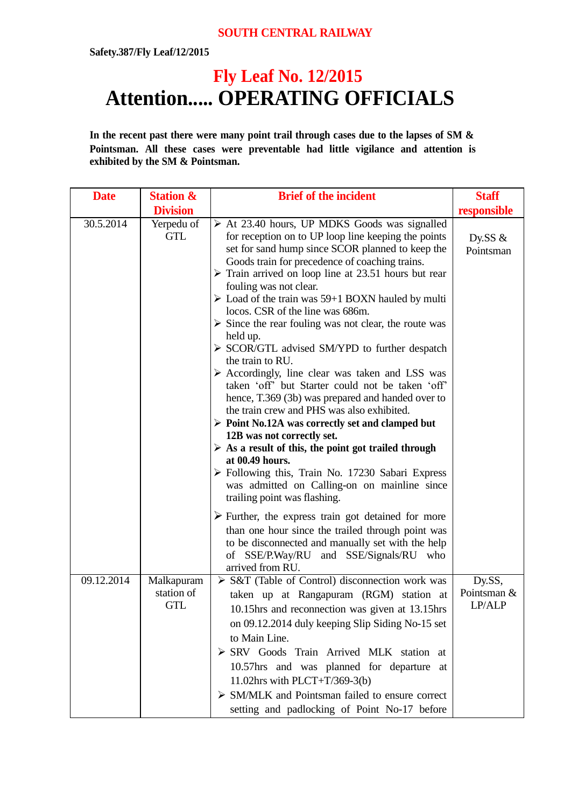## **SOUTH CENTRAL RAILWAY**

**Safety.387/Fly Leaf/12/2015**

## **Fly Leaf No. 12/2015 Attention..... OPERATING OFFICIALS**

**In the recent past there were many point trail through cases due to the lapses of SM & Pointsman. All these cases were preventable had little vigilance and attention is exhibited by the SM & Pointsman.**

| <b>Date</b> | <b>Station &amp;</b>                   | <b>Brief of the incident</b>                                                                                                                                                                                                                                                                                                                                                                                                                                                                                                                                                                                                                                                                                                                                                                                                                                                                                                                                                                                                                                                                                                                                                                                                                                                                                                                                                 | <b>Staff</b>                    |
|-------------|----------------------------------------|------------------------------------------------------------------------------------------------------------------------------------------------------------------------------------------------------------------------------------------------------------------------------------------------------------------------------------------------------------------------------------------------------------------------------------------------------------------------------------------------------------------------------------------------------------------------------------------------------------------------------------------------------------------------------------------------------------------------------------------------------------------------------------------------------------------------------------------------------------------------------------------------------------------------------------------------------------------------------------------------------------------------------------------------------------------------------------------------------------------------------------------------------------------------------------------------------------------------------------------------------------------------------------------------------------------------------------------------------------------------------|---------------------------------|
|             | <b>Division</b>                        |                                                                                                                                                                                                                                                                                                                                                                                                                                                                                                                                                                                                                                                                                                                                                                                                                                                                                                                                                                                                                                                                                                                                                                                                                                                                                                                                                                              | responsible                     |
| 30.5.2014   | Yerpedu of<br><b>GTL</b>               | $\triangleright$ At 23.40 hours, UP MDKS Goods was signalled<br>for reception on to UP loop line keeping the points<br>set for sand hump since SCOR planned to keep the<br>Goods train for precedence of coaching trains.<br>$\triangleright$ Train arrived on loop line at 23.51 hours but rear<br>fouling was not clear.<br>$\triangleright$ Load of the train was 59+1 BOXN hauled by multi<br>locos. CSR of the line was 686m.<br>$\triangleright$ Since the rear fouling was not clear, the route was<br>held up.<br>$\triangleright$ SCOR/GTL advised SM/YPD to further despatch<br>the train to RU.<br>> Accordingly, line clear was taken and LSS was<br>taken 'off' but Starter could not be taken 'off'<br>hence, T.369 (3b) was prepared and handed over to<br>the train crew and PHS was also exhibited.<br>$\triangleright$ Point No.12A was correctly set and clamped but<br>12B was not correctly set.<br>$\triangleright$ As a result of this, the point got trailed through<br>at 00.49 hours.<br>> Following this, Train No. 17230 Sabari Express<br>was admitted on Calling-on on mainline since<br>trailing point was flashing.<br>$\triangleright$ Further, the express train got detained for more<br>than one hour since the trailed through point was<br>to be disconnected and manually set with the help<br>of SSE/P.Way/RU and SSE/Signals/RU who | Dy.SS $\&$<br>Pointsman         |
| 09.12.2014  | Malkapuram<br>station of<br><b>GTL</b> | arrived from RU.<br>$\triangleright$ S&T (Table of Control) disconnection work was<br>taken up at Rangapuram (RGM) station at<br>10.15hrs and reconnection was given at 13.15hrs<br>on 09.12.2014 duly keeping Slip Siding No-15 set<br>to Main Line.<br>> SRV Goods Train Arrived MLK station at<br>10.57hrs and was planned for departure at<br>11.02hrs with PLCT+T/369-3(b)<br>$\triangleright$ SM/MLK and Pointsman failed to ensure correct<br>setting and padlocking of Point No-17 before                                                                                                                                                                                                                                                                                                                                                                                                                                                                                                                                                                                                                                                                                                                                                                                                                                                                            | Dy.SS,<br>Pointsman &<br>LP/ALP |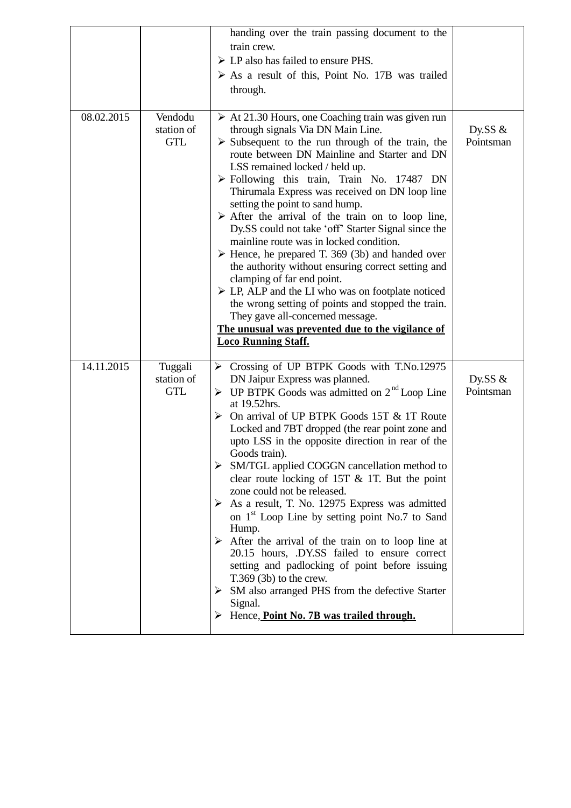|            |                                     | handing over the train passing document to the<br>train crew.<br>$\triangleright$ LP also has failed to ensure PHS.<br>$\triangleright$ As a result of this, Point No. 17B was trailed<br>through.                                                                                                                                                                                                                                                                                                                                                                                                                                                                                                                                                                                                                                                                                                                                                                                           |                         |
|------------|-------------------------------------|----------------------------------------------------------------------------------------------------------------------------------------------------------------------------------------------------------------------------------------------------------------------------------------------------------------------------------------------------------------------------------------------------------------------------------------------------------------------------------------------------------------------------------------------------------------------------------------------------------------------------------------------------------------------------------------------------------------------------------------------------------------------------------------------------------------------------------------------------------------------------------------------------------------------------------------------------------------------------------------------|-------------------------|
| 08.02.2015 | Vendodu<br>station of<br><b>GTL</b> | $\triangleright$ At 21.30 Hours, one Coaching train was given run<br>through signals Via DN Main Line.<br>$\triangleright$ Subsequent to the run through of the train, the<br>route between DN Mainline and Starter and DN<br>LSS remained locked / held up.<br>$\triangleright$ Following this train, Train No. 17487 DN<br>Thirumala Express was received on DN loop line<br>setting the point to sand hump.<br>$\triangleright$ After the arrival of the train on to loop line,<br>Dy.SS could not take 'off' Starter Signal since the<br>mainline route was in locked condition.<br>$\triangleright$ Hence, he prepared T. 369 (3b) and handed over<br>the authority without ensuring correct setting and<br>clamping of far end point.<br>$\triangleright$ LP, ALP and the LI who was on footplate noticed<br>the wrong setting of points and stopped the train.<br>They gave all-concerned message.<br>The unusual was prevented due to the vigilance of<br><b>Loco Running Staff.</b> | Dy.SS $\&$<br>Pointsman |
| 14.11.2015 | Tuggali<br>station of<br><b>GTL</b> | > Crossing of UP BTPK Goods with T.No.12975<br>DN Jaipur Express was planned.<br>$\triangleright$ UP BTPK Goods was admitted on $2^{nd}$ Loop Line<br>at 19.52hrs.<br>On arrival of UP BTPK Goods 15T & 1T Route<br>≻<br>Locked and 7BT dropped (the rear point zone and<br>upto LSS in the opposite direction in rear of the<br>Goods train).<br>$\triangleright$ SM/TGL applied COGGN cancellation method to<br>clear route locking of $15T \& 1T$ . But the point<br>zone could not be released.<br>$\triangleright$ As a result, T. No. 12975 Express was admitted<br>on 1 <sup>st</sup> Loop Line by setting point No.7 to Sand<br>Hump.<br>$\triangleright$ After the arrival of the train on to loop line at<br>20.15 hours, .DY.SS failed to ensure correct<br>setting and padlocking of point before issuing<br>$T.369$ (3b) to the crew.<br>SM also arranged PHS from the defective Starter<br>➤<br>Signal.<br>$\triangleright$ Hence, <b>Point No. 7B</b> was trailed through.    | Dy.SS $\&$<br>Pointsman |